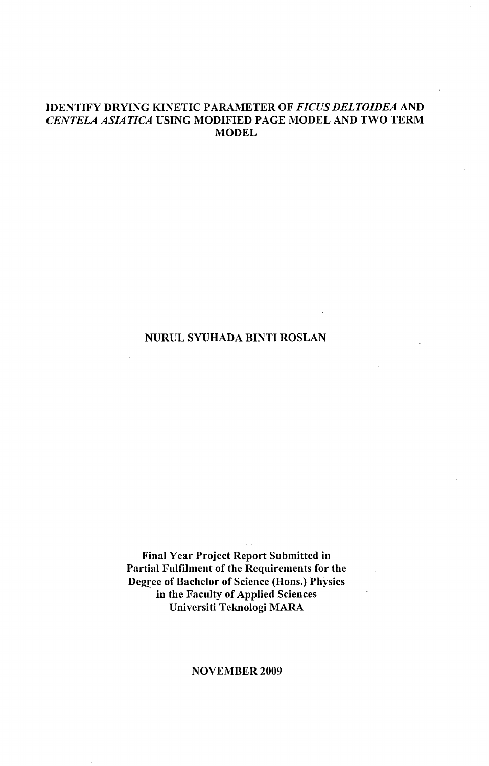# IDENTIFY DRYING KINETIC PARAMETER OF *FICUS DELTOIDEA* AND CENTELA ASIATICA USING MODIFIED PAGE MODEL AND TWO TERM **MODEL**

# NURUL SYUHADA BINTI ROSLAN

Final Year Project Report Submitted in Partial Fulfilment of the Requirements for the Degree of Bachelor of Science (Hons.) Physics in the Faculty of Applied Sciences Universiti Teknologi MARA

## NOVEMBER 2009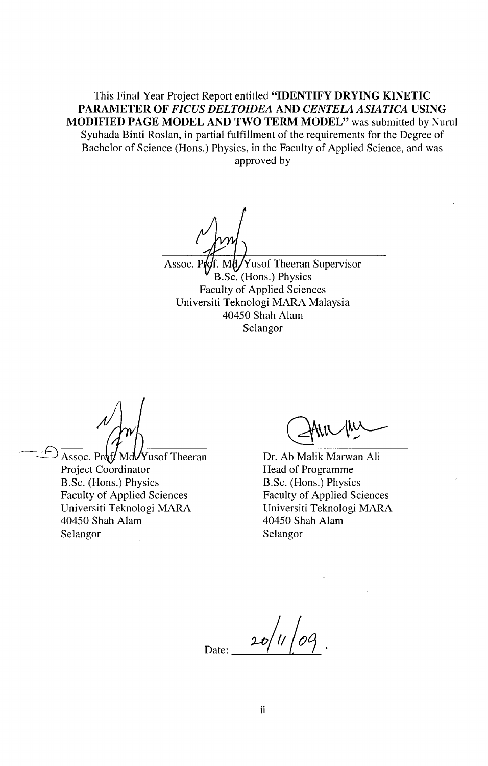This Final Year Project Report entitled **"IDENTIFY DRYING KINETIC PARAMETER OF** *FICUS DELTOIDEA* **AND** *CENTELA ASIATICA* **USING MODIFIED PAGE MODEL AND TWO TERM MODEL"** was submitted by Nurul Syuhada Binti Roslan, in partial fulfillment of the requirements for the Degree of Bachelor of Science (Hons.) Physics, in the Faculty of Applied Science, and was approved by

Assoc. P $\oint f$ . M $\oint Y$ usof Theeran Supervisor B.Sc. (Hons.) Physics Faculty of Applied Sciences Universiti Teknologi MARA Malaysia 40450 Shah Alam Selangor

Assoc. Prof. Md $\sqrt{Y}$ usof Theeran Project Coordinator B.Sc. (Hons.) Physics Faculty of Applied Sciences Universiti Teknologi MARA 40450 Shah Alam Selangor

Dr. Ab Malik Marwan Ali Head of Programme B.Sc. (Hons.) Physics Faculty of Applied Sciences Universiti Teknologi MARA 40450 Shah Alam Selangor

Date: 20/1/09.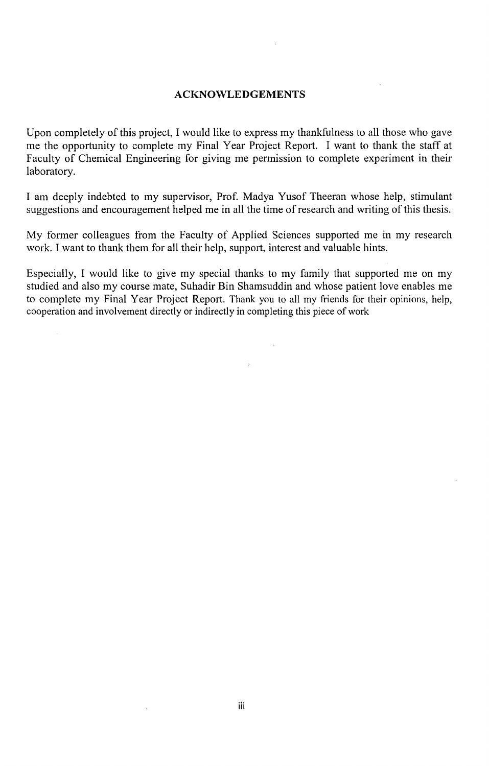## **ACKNOWLED GEMENTS**

Upon completely of this project, I would like to express my thankfulness to all those who gave me the opportunity to complete my Final Year Project Report. I want to thank the staff at Faculty of Chemical Engineering for giving me permission to complete experiment in their laboratory.

I am deeply indebted to my supervisor, Prof. Madya Yusof Theeran whose help, stimulant suggestions and encouragement helped me in all the time of research and writing of this thesis.

My former colleagues from the Faculty of Applied Sciences supported me in my research work. I want to thank them for all their help, support, interest and valuable hints.

Especially, I would like to give my special thanks to my family that supported me on my studied and also my course mate, Suhadir Bin Shamsuddin and whose patient love enables me to complete my Final Year Project Report. Thank you to all my friends for their opinions, help, cooperation and involvement directly or indirectly in completing this piece of work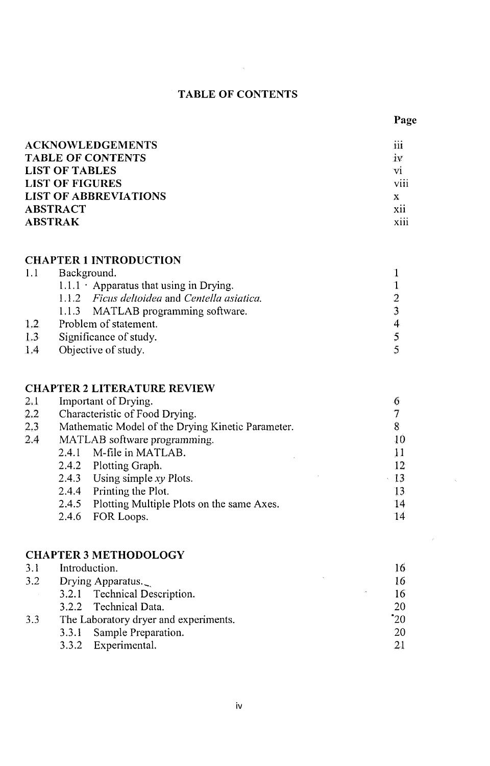# **TABLE OF CONTENTS**

 $\mathcal{L}^{\text{max}}_{\text{max}}$  and  $\mathcal{L}^{\text{max}}_{\text{max}}$ 

 $\sim$ 

| <b>ACKNOWLEDGEMENTS</b>      | $1.10 - 1.0$<br>111     |
|------------------------------|-------------------------|
| <b>TABLE OF CONTENTS</b>     | iv                      |
| LIST OF TABLES               | vi                      |
| <b>LIST OF FIGURES</b>       | <br><b>V111</b>         |
| <b>LIST OF ABBREVIATIONS</b> | х                       |
| <b>ABSTRACT</b>              | $\cdot\cdot$<br>X11     |
| <b>ABSTRAK</b>               | $\cdots$<br><b>X111</b> |

#### **CHAPTER 1 INTRODUCTION**

| 1.1              | Background.                                   |   |  |
|------------------|-----------------------------------------------|---|--|
|                  | $1.1.1 \cdot$ Apparatus that using in Drying. |   |  |
|                  | 1.1.2 Ficus deltoidea and Centella asiatica.  |   |  |
|                  | 1.1.3 MATLAB programming software.            |   |  |
| 1.2              | Problem of statement.                         | 4 |  |
| $1.3\phantom{0}$ | Significance of study.                        |   |  |
| 1.4              | Objective of study.                           |   |  |
|                  |                                               |   |  |

# **CHAPTER 2 LITERATURE REVIEW**

| 2.1           | Important of Drying.                              |                                                 |    |
|---------------|---------------------------------------------------|-------------------------------------------------|----|
| $2.2^{\circ}$ | Characteristic of Food Drying.                    |                                                 |    |
| $2.3\,$       | Mathematic Model of the Drying Kinetic Parameter. | 8                                               |    |
| 2.4           |                                                   | MATLAB software programming.                    | 10 |
|               | 2.4.1                                             | M-file in MATLAB.                               | 11 |
|               |                                                   | 2.4.2 Plotting Graph.                           | 12 |
|               |                                                   | 2.4.3 Using simple $xy$ Plots.                  | 13 |
|               |                                                   | 2.4.4 Printing the Plot.                        | 13 |
|               |                                                   | 2.4.5 Plotting Multiple Plots on the same Axes. | 14 |
|               | 2.4.6                                             | FOR Loops.                                      | 14 |
|               |                                                   |                                                 |    |

#### **CHAPTER 3 METHODOLOGY**

| 3.1 | Introduction.                         |        | 16         |
|-----|---------------------------------------|--------|------------|
| 3.2 | Drying Apparatus.                     |        | 16         |
|     | 3.2.1 Technical Description.          | $\sim$ | 16         |
|     | 3.2.2 Technical Data.                 |        | 20         |
| 3.3 | The Laboratory dryer and experiments. |        | $\cdot$ 20 |
|     | 3.3.1 Sample Preparation.             |        | 20         |
|     | 3.3.2 Experimental.                   |        |            |